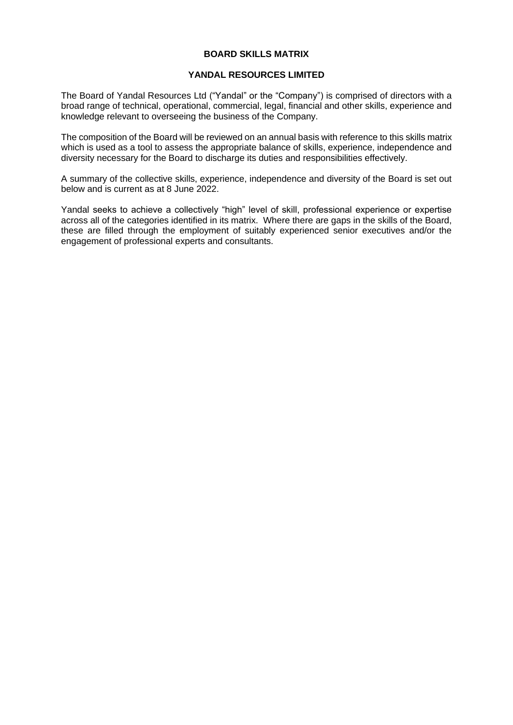## **BOARD SKILLS MATRIX**

## **YANDAL RESOURCES LIMITED**

The Board of Yandal Resources Ltd ("Yandal" or the "Company") is comprised of directors with a broad range of technical, operational, commercial, legal, financial and other skills, experience and knowledge relevant to overseeing the business of the Company.

The composition of the Board will be reviewed on an annual basis with reference to this skills matrix which is used as a tool to assess the appropriate balance of skills, experience, independence and diversity necessary for the Board to discharge its duties and responsibilities effectively.

A summary of the collective skills, experience, independence and diversity of the Board is set out below and is current as at 8 June 2022.

Yandal seeks to achieve a collectively "high" level of skill, professional experience or expertise across all of the categories identified in its matrix. Where there are gaps in the skills of the Board, these are filled through the employment of suitably experienced senior executives and/or the engagement of professional experts and consultants.